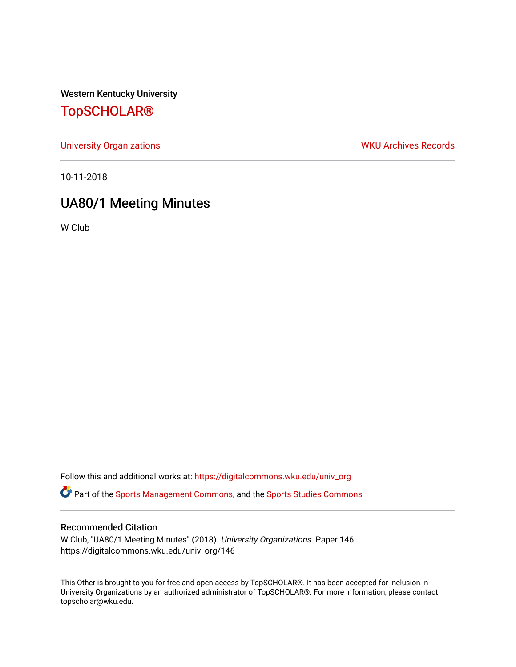Western Kentucky University

# [TopSCHOLAR®](https://digitalcommons.wku.edu/)

[University Organizations](https://digitalcommons.wku.edu/univ_org) **WKU Archives Records** 

10-11-2018

# UA80/1 Meeting Minutes

W Club

Follow this and additional works at: [https://digitalcommons.wku.edu/univ\\_org](https://digitalcommons.wku.edu/univ_org?utm_source=digitalcommons.wku.edu%2Funiv_org%2F146&utm_medium=PDF&utm_campaign=PDFCoverPages) 

**C** Part of the [Sports Management Commons](http://network.bepress.com/hgg/discipline/1193?utm_source=digitalcommons.wku.edu%2Funiv_org%2F146&utm_medium=PDF&utm_campaign=PDFCoverPages), and the [Sports Studies Commons](http://network.bepress.com/hgg/discipline/1198?utm_source=digitalcommons.wku.edu%2Funiv_org%2F146&utm_medium=PDF&utm_campaign=PDFCoverPages)

#### Recommended Citation

W Club, "UA80/1 Meeting Minutes" (2018). University Organizations. Paper 146. https://digitalcommons.wku.edu/univ\_org/146

This Other is brought to you for free and open access by TopSCHOLAR®. It has been accepted for inclusion in University Organizations by an authorized administrator of TopSCHOLAR®. For more information, please contact topscholar@wku.edu.